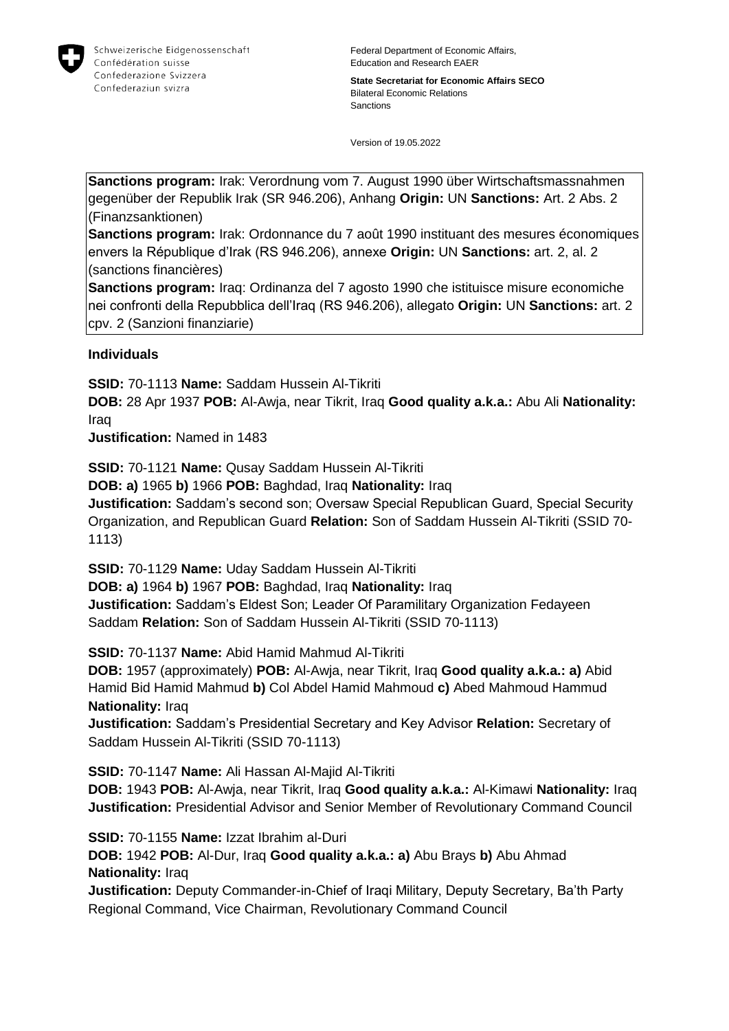

**State Secretariat for Economic Affairs SECO** Bilateral Economic Relations Sanctions

Version of 19.05.2022

**Sanctions program:** Irak: Verordnung vom 7. August 1990 über Wirtschaftsmassnahmen gegenüber der Republik Irak (SR 946.206), Anhang **Origin:** UN **Sanctions:** Art. 2 Abs. 2 (Finanzsanktionen)

**Sanctions program:** Irak: Ordonnance du 7 août 1990 instituant des mesures économiques envers la République d'Irak (RS 946.206), annexe **Origin:** UN **Sanctions:** art. 2, al. 2 (sanctions financières)

**Sanctions program:** Iraq: Ordinanza del 7 agosto 1990 che istituisce misure economiche nei confronti della Repubblica dell'Iraq (RS 946.206), allegato **Origin:** UN **Sanctions:** art. 2 cpv. 2 (Sanzioni finanziarie)

### **Individuals**

**SSID:** 70-1113 **Name:** Saddam Hussein Al-Tikriti

**DOB:** 28 Apr 1937 **POB:** Al-Awja, near Tikrit, Iraq **Good quality a.k.a.:** Abu Ali **Nationality:** Iraq

**Justification:** Named in 1483

**SSID:** 70-1121 **Name:** Qusay Saddam Hussein Al-Tikriti

**DOB: a)** 1965 **b)** 1966 **POB:** Baghdad, Iraq **Nationality:** Iraq

**Justification:** Saddam's second son; Oversaw Special Republican Guard, Special Security Organization, and Republican Guard **Relation:** Son of Saddam Hussein Al-Tikriti (SSID 70- 1113)

**SSID:** 70-1129 **Name:** Uday Saddam Hussein Al-Tikriti

**DOB: a)** 1964 **b)** 1967 **POB:** Baghdad, Iraq **Nationality:** Iraq **Justification:** Saddam's Eldest Son; Leader Of Paramilitary Organization Fedayeen Saddam **Relation:** Son of Saddam Hussein Al-Tikriti (SSID 70-1113)

**SSID:** 70-1137 **Name:** Abid Hamid Mahmud Al-Tikriti

**DOB:** 1957 (approximately) **POB:** Al-Awja, near Tikrit, Iraq **Good quality a.k.a.: a)** Abid Hamid Bid Hamid Mahmud **b)** Col Abdel Hamid Mahmoud **c)** Abed Mahmoud Hammud **Nationality:** Iraq

**Justification:** Saddam's Presidential Secretary and Key Advisor **Relation:** Secretary of Saddam Hussein Al-Tikriti (SSID 70-1113)

**SSID:** 70-1147 **Name:** Ali Hassan Al-Majid Al-Tikriti **DOB:** 1943 **POB:** Al-Awja, near Tikrit, Iraq **Good quality a.k.a.:** Al-Kimawi **Nationality:** Iraq **Justification:** Presidential Advisor and Senior Member of Revolutionary Command Council

**SSID:** 70-1155 **Name:** Izzat Ibrahim al-Duri **DOB:** 1942 **POB:** Al-Dur, Iraq **Good quality a.k.a.: a)** Abu Brays **b)** Abu Ahmad **Nationality:** Iraq

**Justification:** Deputy Commander-in-Chief of Iraqi Military, Deputy Secretary, Ba'th Party Regional Command, Vice Chairman, Revolutionary Command Council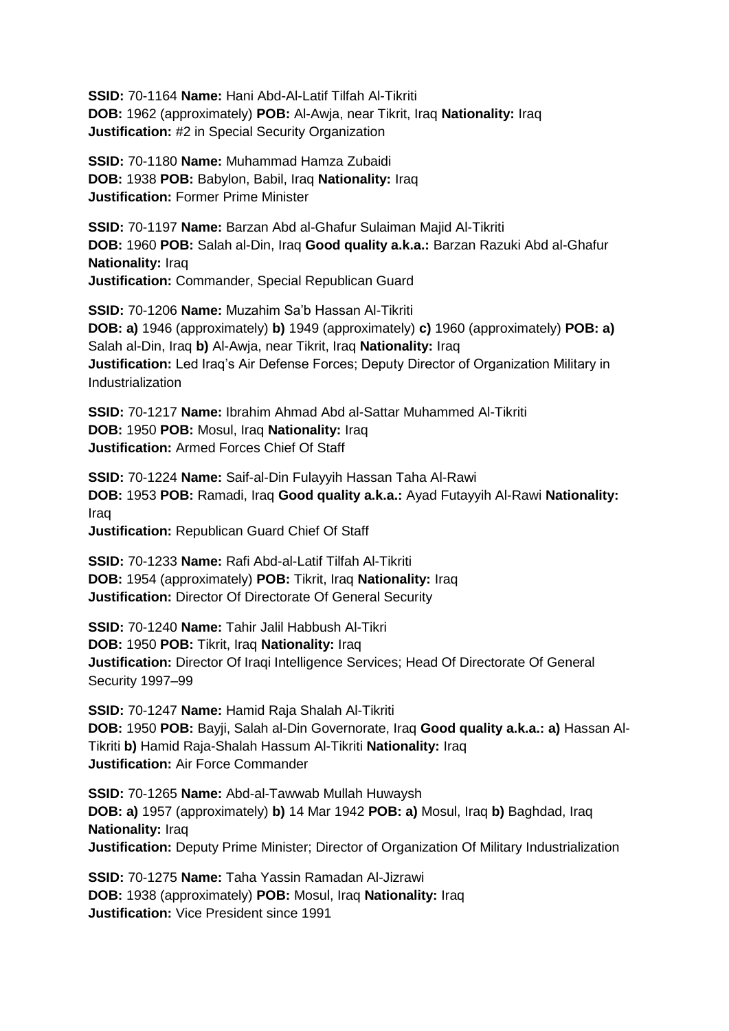**SSID:** 70-1164 **Name:** Hani Abd-Al-Latif Tilfah Al-Tikriti **DOB:** 1962 (approximately) **POB:** Al-Awja, near Tikrit, Iraq **Nationality:** Iraq **Justification:** #2 in Special Security Organization

**SSID:** 70-1180 **Name:** Muhammad Hamza Zubaidi **DOB:** 1938 **POB:** Babylon, Babil, Iraq **Nationality:** Iraq **Justification:** Former Prime Minister

**SSID:** 70-1197 **Name:** Barzan Abd al-Ghafur Sulaiman Majid Al-Tikriti **DOB:** 1960 **POB:** Salah al-Din, Iraq **Good quality a.k.a.:** Barzan Razuki Abd al-Ghafur **Nationality:** Iraq **Justification:** Commander, Special Republican Guard

**SSID:** 70-1206 **Name:** Muzahim Sa'b Hassan Al-Tikriti **DOB: a)** 1946 (approximately) **b)** 1949 (approximately) **c)** 1960 (approximately) **POB: a)**  Salah al-Din, Iraq **b)** Al-Awja, near Tikrit, Iraq **Nationality:** Iraq **Justification:** Led Iraq's Air Defense Forces; Deputy Director of Organization Military in **Industrialization** 

**SSID:** 70-1217 **Name:** Ibrahim Ahmad Abd al-Sattar Muhammed Al-Tikriti **DOB:** 1950 **POB:** Mosul, Iraq **Nationality:** Iraq **Justification:** Armed Forces Chief Of Staff

**SSID:** 70-1224 **Name:** Saif-al-Din Fulayyih Hassan Taha Al-Rawi **DOB:** 1953 **POB:** Ramadi, Iraq **Good quality a.k.a.:** Ayad Futayyih Al-Rawi **Nationality:** Iraq **Justification:** Republican Guard Chief Of Staff

**SSID:** 70-1233 **Name:** Rafi Abd-al-Latif Tilfah Al-Tikriti **DOB:** 1954 (approximately) **POB:** Tikrit, Iraq **Nationality:** Iraq **Justification:** Director Of Directorate Of General Security

**SSID:** 70-1240 **Name:** Tahir Jalil Habbush Al-Tikri **DOB:** 1950 **POB:** Tikrit, Iraq **Nationality:** Iraq **Justification:** Director Of Iraqi Intelligence Services; Head Of Directorate Of General Security 1997–99

**SSID:** 70-1247 **Name:** Hamid Raja Shalah Al-Tikriti **DOB:** 1950 **POB:** Bayji, Salah al-Din Governorate, Iraq **Good quality a.k.a.: a)** Hassan Al-Tikriti **b)** Hamid Raja-Shalah Hassum Al-Tikriti **Nationality:** Iraq **Justification:** Air Force Commander

**SSID:** 70-1265 **Name:** Abd-al-Tawwab Mullah Huwaysh **DOB: a)** 1957 (approximately) **b)** 14 Mar 1942 **POB: a)** Mosul, Iraq **b)** Baghdad, Iraq **Nationality:** Iraq **Justification:** Deputy Prime Minister; Director of Organization Of Military Industrialization

**SSID:** 70-1275 **Name:** Taha Yassin Ramadan Al-Jizrawi **DOB:** 1938 (approximately) **POB:** Mosul, Iraq **Nationality:** Iraq **Justification:** Vice President since 1991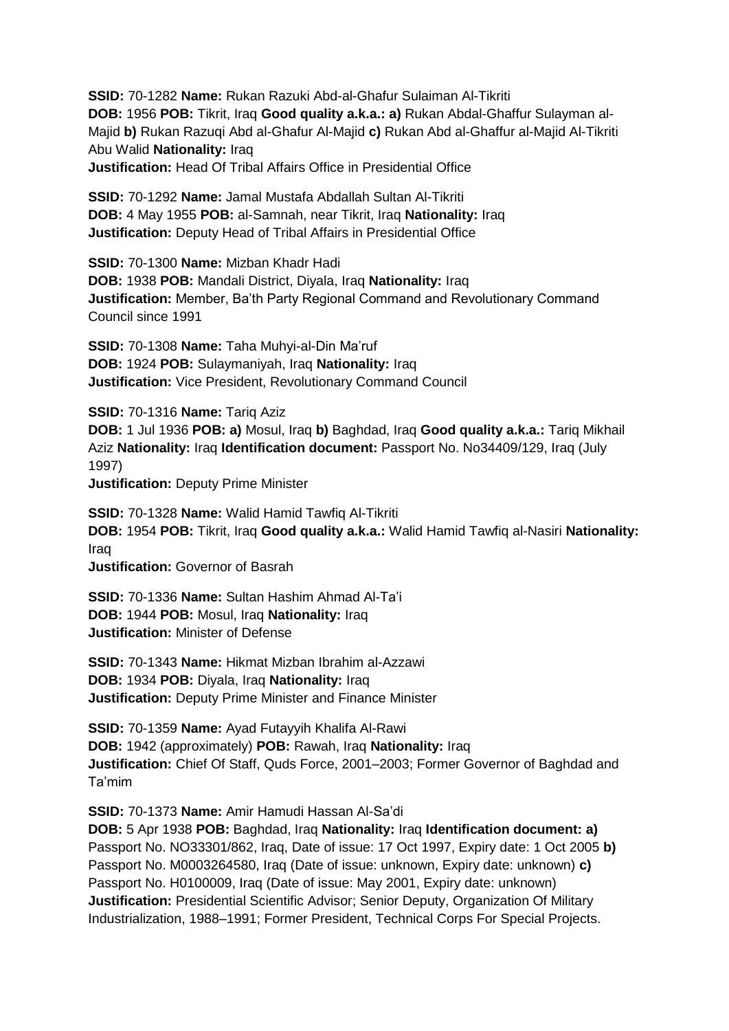**SSID:** 70-1282 **Name:** Rukan Razuki Abd-al-Ghafur Sulaiman Al-Tikriti **DOB:** 1956 **POB:** Tikrit, Iraq **Good quality a.k.a.: a)** Rukan Abdal-Ghaffur Sulayman al-Majid **b)** Rukan Razuqi Abd al-Ghafur Al-Majid **c)** Rukan Abd al-Ghaffur al-Majid Al-Tikriti Abu Walid **Nationality:** Iraq

**Justification:** Head Of Tribal Affairs Office in Presidential Office

**SSID:** 70-1292 **Name:** Jamal Mustafa Abdallah Sultan Al-Tikriti **DOB:** 4 May 1955 **POB:** al-Samnah, near Tikrit, Iraq **Nationality:** Iraq **Justification:** Deputy Head of Tribal Affairs in Presidential Office

**SSID:** 70-1300 **Name:** Mizban Khadr Hadi **DOB:** 1938 **POB:** Mandali District, Diyala, Iraq **Nationality:** Iraq **Justification:** Member, Ba'th Party Regional Command and Revolutionary Command Council since 1991

**SSID:** 70-1308 **Name:** Taha Muhyi-al-Din Ma'ruf **DOB:** 1924 **POB:** Sulaymaniyah, Iraq **Nationality:** Iraq **Justification:** Vice President, Revolutionary Command Council

**SSID:** 70-1316 **Name:** Tariq Aziz

**DOB:** 1 Jul 1936 **POB: a)** Mosul, Iraq **b)** Baghdad, Iraq **Good quality a.k.a.:** Tariq Mikhail Aziz **Nationality:** Iraq **Identification document:** Passport No. No34409/129, Iraq (July 1997)

**Justification:** Deputy Prime Minister

**SSID:** 70-1328 **Name:** Walid Hamid Tawfiq Al-Tikriti **DOB:** 1954 **POB:** Tikrit, Iraq **Good quality a.k.a.:** Walid Hamid Tawfiq al-Nasiri **Nationality:** Iraq

**Justification:** Governor of Basrah

**SSID:** 70-1336 **Name:** Sultan Hashim Ahmad Al-Ta'i **DOB:** 1944 **POB:** Mosul, Iraq **Nationality:** Iraq **Justification:** Minister of Defense

**SSID:** 70-1343 **Name:** Hikmat Mizban Ibrahim al-Azzawi **DOB:** 1934 **POB:** Diyala, Iraq **Nationality:** Iraq **Justification:** Deputy Prime Minister and Finance Minister

**SSID:** 70-1359 **Name:** Ayad Futayyih Khalifa Al-Rawi **DOB:** 1942 (approximately) **POB:** Rawah, Iraq **Nationality:** Iraq **Justification:** Chief Of Staff, Quds Force, 2001–2003; Former Governor of Baghdad and Ta'mim

**SSID:** 70-1373 **Name:** Amir Hamudi Hassan Al-Sa'di

**DOB:** 5 Apr 1938 **POB:** Baghdad, Iraq **Nationality:** Iraq **Identification document: a)**  Passport No. NO33301/862, Iraq, Date of issue: 17 Oct 1997, Expiry date: 1 Oct 2005 **b)**  Passport No. M0003264580, Iraq (Date of issue: unknown, Expiry date: unknown) **c)**  Passport No. H0100009, Iraq (Date of issue: May 2001, Expiry date: unknown) **Justification:** Presidential Scientific Advisor; Senior Deputy, Organization Of Military Industrialization, 1988–1991; Former President, Technical Corps For Special Projects.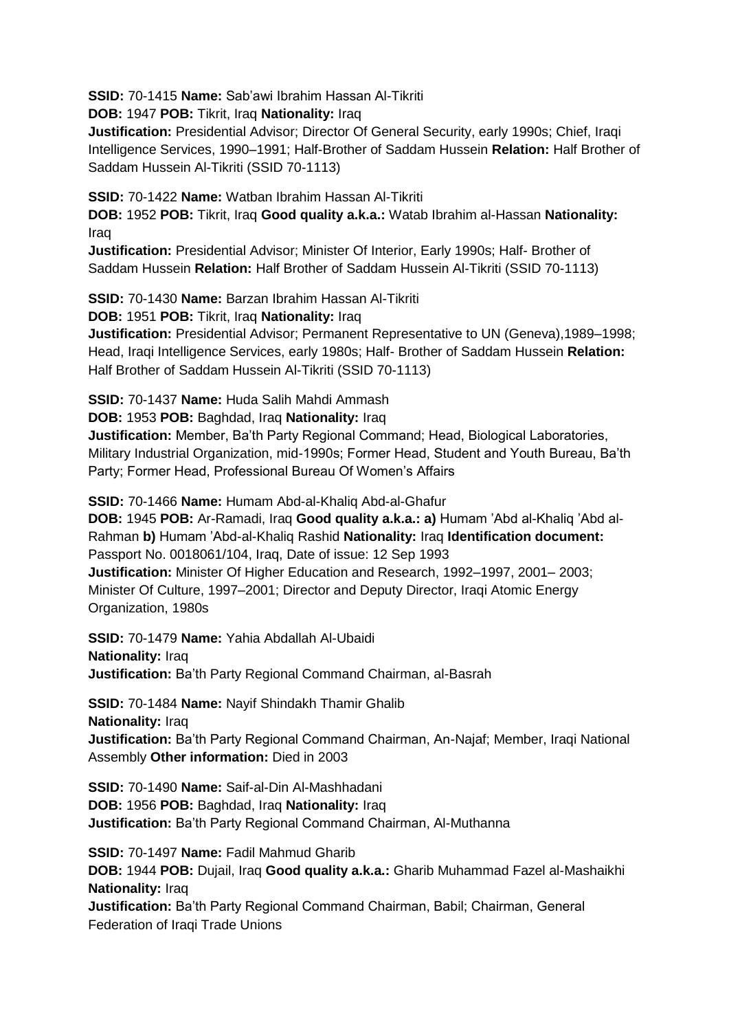**SSID:** 70-1415 **Name:** Sab'awi Ibrahim Hassan Al-Tikriti

**DOB:** 1947 **POB:** Tikrit, Iraq **Nationality:** Iraq

**Justification:** Presidential Advisor; Director Of General Security, early 1990s; Chief, Iraqi Intelligence Services, 1990–1991; Half-Brother of Saddam Hussein **Relation:** Half Brother of Saddam Hussein Al-Tikriti (SSID 70-1113)

**SSID:** 70-1422 **Name:** Watban Ibrahim Hassan Al-Tikriti

**DOB:** 1952 **POB:** Tikrit, Iraq **Good quality a.k.a.:** Watab Ibrahim al-Hassan **Nationality:** Iraq

**Justification:** Presidential Advisor; Minister Of Interior, Early 1990s; Half- Brother of Saddam Hussein **Relation:** Half Brother of Saddam Hussein Al-Tikriti (SSID 70-1113)

**SSID:** 70-1430 **Name:** Barzan Ibrahim Hassan Al-Tikriti

**DOB:** 1951 **POB:** Tikrit, Iraq **Nationality:** Iraq

**Justification:** Presidential Advisor; Permanent Representative to UN (Geneva),1989–1998; Head, Iraqi Intelligence Services, early 1980s; Half- Brother of Saddam Hussein **Relation:** Half Brother of Saddam Hussein Al-Tikriti (SSID 70-1113)

**SSID:** 70-1437 **Name:** Huda Salih Mahdi Ammash

# **DOB:** 1953 **POB:** Baghdad, Iraq **Nationality:** Iraq

**Justification:** Member, Ba'th Party Regional Command; Head, Biological Laboratories, Military Industrial Organization, mid-1990s; Former Head, Student and Youth Bureau, Ba'th Party; Former Head, Professional Bureau Of Women's Affairs

**SSID:** 70-1466 **Name:** Humam Abd-al-Khaliq Abd-al-Ghafur

**DOB:** 1945 **POB:** Ar-Ramadi, Iraq **Good quality a.k.a.: a)** Humam 'Abd al-Khaliq 'Abd al-Rahman **b)** Humam 'Abd-al-Khaliq Rashid **Nationality:** Iraq **Identification document:** Passport No. 0018061/104, Iraq, Date of issue: 12 Sep 1993 **Justification:** Minister Of Higher Education and Research, 1992–1997, 2001– 2003;

Minister Of Culture, 1997–2001; Director and Deputy Director, Iraqi Atomic Energy Organization, 1980s

**SSID:** 70-1479 **Name:** Yahia Abdallah Al-Ubaidi **Nationality:** Iraq **Justification:** Ba'th Party Regional Command Chairman, al-Basrah

**SSID:** 70-1484 **Name:** Nayif Shindakh Thamir Ghalib **Nationality:** Iraq **Justification:** Ba'th Party Regional Command Chairman, An-Najaf; Member, Iraqi National

Assembly **Other information:** Died in 2003

**SSID:** 70-1490 **Name:** Saif-al-Din Al-Mashhadani **DOB:** 1956 **POB:** Baghdad, Iraq **Nationality:** Iraq **Justification:** Ba'th Party Regional Command Chairman, Al-Muthanna

**SSID:** 70-1497 **Name:** Fadil Mahmud Gharib **DOB:** 1944 **POB:** Dujail, Iraq **Good quality a.k.a.:** Gharib Muhammad Fazel al-Mashaikhi **Nationality:** Iraq **Justification:** Ba'th Party Regional Command Chairman, Babil; Chairman, General Federation of Iraqi Trade Unions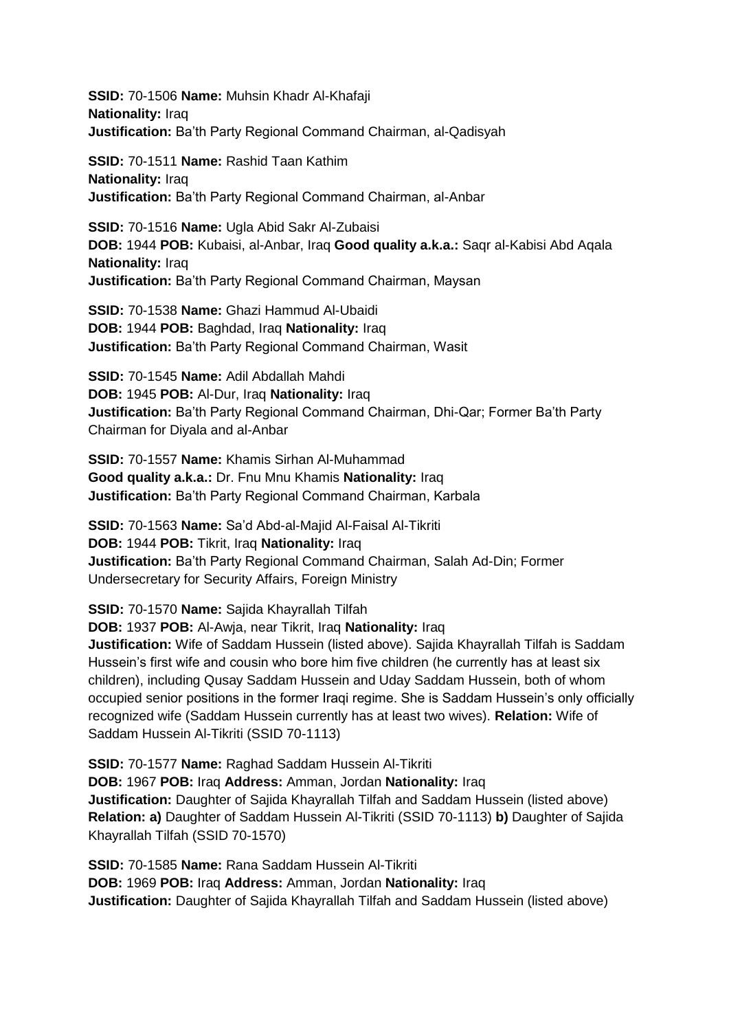**SSID:** 70-1506 **Name:** Muhsin Khadr Al-Khafaji **Nationality:** Iraq **Justification:** Ba'th Party Regional Command Chairman, al-Qadisyah

**SSID:** 70-1511 **Name:** Rashid Taan Kathim **Nationality:** Iraq **Justification:** Ba'th Party Regional Command Chairman, al-Anbar

**SSID:** 70-1516 **Name:** Ugla Abid Sakr Al-Zubaisi **DOB:** 1944 **POB:** Kubaisi, al-Anbar, Iraq **Good quality a.k.a.:** Saqr al-Kabisi Abd Aqala **Nationality:** Iraq **Justification:** Ba'th Party Regional Command Chairman, Maysan

**SSID:** 70-1538 **Name:** Ghazi Hammud Al-Ubaidi **DOB:** 1944 **POB:** Baghdad, Iraq **Nationality:** Iraq **Justification:** Ba'th Party Regional Command Chairman, Wasit

**SSID:** 70-1545 **Name:** Adil Abdallah Mahdi **DOB:** 1945 **POB:** Al-Dur, Iraq **Nationality:** Iraq **Justification:** Ba'th Party Regional Command Chairman, Dhi-Qar; Former Ba'th Party Chairman for Diyala and al-Anbar

**SSID:** 70-1557 **Name:** Khamis Sirhan Al-Muhammad **Good quality a.k.a.:** Dr. Fnu Mnu Khamis **Nationality:** Iraq **Justification:** Ba'th Party Regional Command Chairman, Karbala

**SSID:** 70-1563 **Name:** Sa'd Abd-al-Majid Al-Faisal Al-Tikriti **DOB:** 1944 **POB:** Tikrit, Iraq **Nationality:** Iraq **Justification:** Ba'th Party Regional Command Chairman, Salah Ad-Din; Former Undersecretary for Security Affairs, Foreign Ministry

**SSID:** 70-1570 **Name:** Sajida Khayrallah Tilfah

**DOB:** 1937 **POB:** Al-Awja, near Tikrit, Iraq **Nationality:** Iraq

**Justification:** Wife of Saddam Hussein (listed above). Sajida Khayrallah Tilfah is Saddam Hussein's first wife and cousin who bore him five children (he currently has at least six children), including Qusay Saddam Hussein and Uday Saddam Hussein, both of whom occupied senior positions in the former Iraqi regime. She is Saddam Hussein's only officially recognized wife (Saddam Hussein currently has at least two wives). **Relation:** Wife of Saddam Hussein Al-Tikriti (SSID 70-1113)

**SSID:** 70-1577 **Name:** Raghad Saddam Hussein Al-Tikriti **DOB:** 1967 **POB:** Iraq **Address:** Amman, Jordan **Nationality:** Iraq **Justification:** Daughter of Sajida Khayrallah Tilfah and Saddam Hussein (listed above) **Relation: a)** Daughter of Saddam Hussein Al-Tikriti (SSID 70-1113) **b)** Daughter of Sajida Khayrallah Tilfah (SSID 70-1570)

**SSID:** 70-1585 **Name:** Rana Saddam Hussein Al-Tikriti **DOB:** 1969 **POB:** Iraq **Address:** Amman, Jordan **Nationality:** Iraq **Justification:** Daughter of Sajida Khayrallah Tilfah and Saddam Hussein (listed above)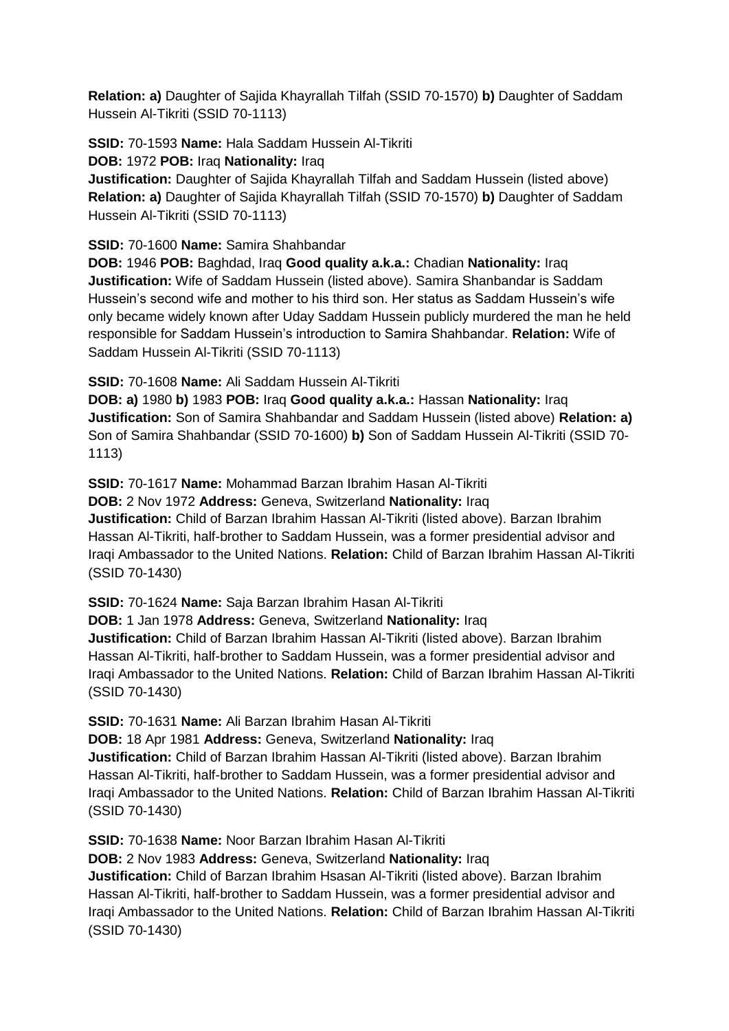**Relation: a)** Daughter of Sajida Khayrallah Tilfah (SSID 70-1570) **b)** Daughter of Saddam Hussein Al-Tikriti (SSID 70-1113)

**SSID:** 70-1593 **Name:** Hala Saddam Hussein Al-Tikriti **DOB:** 1972 **POB:** Iraq **Nationality:** Iraq

**Justification:** Daughter of Sajida Khayrallah Tilfah and Saddam Hussein (listed above) **Relation: a)** Daughter of Sajida Khayrallah Tilfah (SSID 70-1570) **b)** Daughter of Saddam Hussein Al-Tikriti (SSID 70-1113)

### **SSID:** 70-1600 **Name:** Samira Shahbandar

**DOB:** 1946 **POB:** Baghdad, Iraq **Good quality a.k.a.:** Chadian **Nationality:** Iraq **Justification:** Wife of Saddam Hussein (listed above). Samira Shanbandar is Saddam Hussein's second wife and mother to his third son. Her status as Saddam Hussein's wife only became widely known after Uday Saddam Hussein publicly murdered the man he held responsible for Saddam Hussein's introduction to Samira Shahbandar. **Relation:** Wife of Saddam Hussein Al-Tikriti (SSID 70-1113)

### **SSID:** 70-1608 **Name:** Ali Saddam Hussein Al-Tikriti

**DOB: a)** 1980 **b)** 1983 **POB:** Iraq **Good quality a.k.a.:** Hassan **Nationality:** Iraq **Justification:** Son of Samira Shahbandar and Saddam Hussein (listed above) **Relation: a)**  Son of Samira Shahbandar (SSID 70-1600) **b)** Son of Saddam Hussein Al-Tikriti (SSID 70- 1113)

**SSID:** 70-1617 **Name:** Mohammad Barzan Ibrahim Hasan Al-Tikriti **DOB:** 2 Nov 1972 **Address:** Geneva, Switzerland **Nationality:** Iraq **Justification:** Child of Barzan Ibrahim Hassan Al-Tikriti (listed above). Barzan Ibrahim Hassan Al-Tikriti, half-brother to Saddam Hussein, was a former presidential advisor and Iraqi Ambassador to the United Nations. **Relation:** Child of Barzan Ibrahim Hassan Al-Tikriti (SSID 70-1430)

**SSID:** 70-1624 **Name:** Saja Barzan Ibrahim Hasan Al-Tikriti

**DOB:** 1 Jan 1978 **Address:** Geneva, Switzerland **Nationality:** Iraq **Justification:** Child of Barzan Ibrahim Hassan Al-Tikriti (listed above). Barzan Ibrahim Hassan Al-Tikriti, half-brother to Saddam Hussein, was a former presidential advisor and Iraqi Ambassador to the United Nations. **Relation:** Child of Barzan Ibrahim Hassan Al-Tikriti (SSID 70-1430)

**SSID:** 70-1631 **Name:** Ali Barzan Ibrahim Hasan Al-Tikriti

**DOB:** 18 Apr 1981 **Address:** Geneva, Switzerland **Nationality:** Iraq **Justification:** Child of Barzan Ibrahim Hassan Al-Tikriti (listed above). Barzan Ibrahim Hassan Al-Tikriti, half-brother to Saddam Hussein, was a former presidential advisor and Iraqi Ambassador to the United Nations. **Relation:** Child of Barzan Ibrahim Hassan Al-Tikriti (SSID 70-1430)

**SSID:** 70-1638 **Name:** Noor Barzan Ibrahim Hasan Al-Tikriti

**DOB:** 2 Nov 1983 **Address:** Geneva, Switzerland **Nationality:** Iraq

**Justification:** Child of Barzan Ibrahim Hsasan Al-Tikriti (listed above). Barzan Ibrahim Hassan Al-Tikriti, half-brother to Saddam Hussein, was a former presidential advisor and Iraqi Ambassador to the United Nations. **Relation:** Child of Barzan Ibrahim Hassan Al-Tikriti (SSID 70-1430)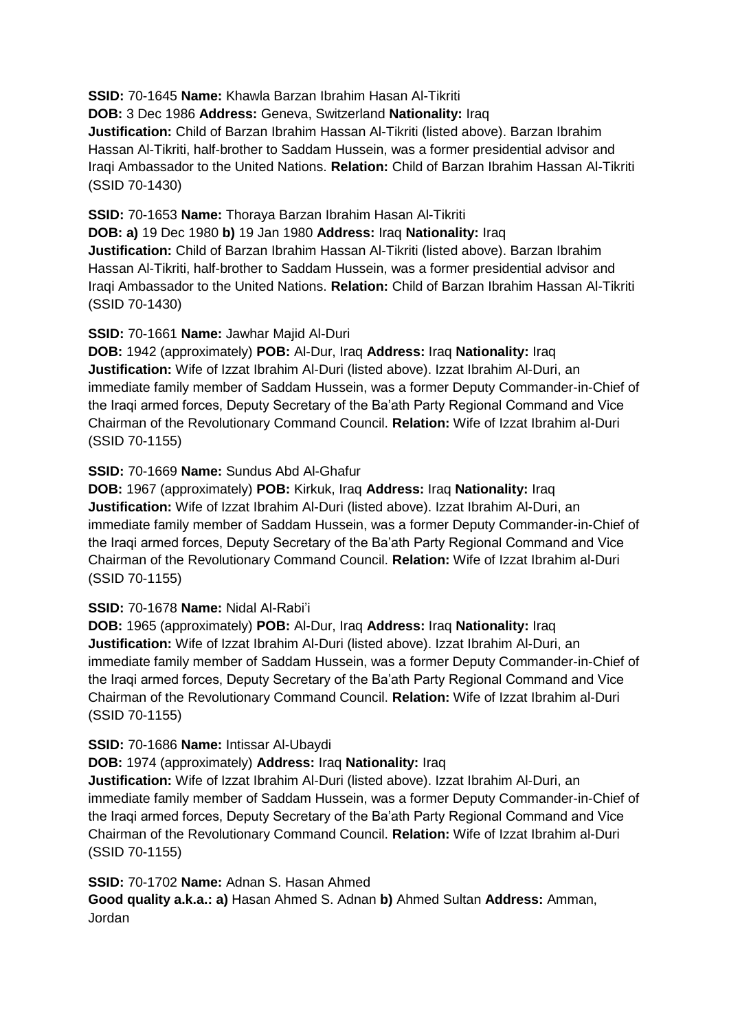**SSID:** 70-1645 **Name:** Khawla Barzan Ibrahim Hasan Al-Tikriti **DOB:** 3 Dec 1986 **Address:** Geneva, Switzerland **Nationality:** Iraq **Justification:** Child of Barzan Ibrahim Hassan Al-Tikriti (listed above). Barzan Ibrahim Hassan Al-Tikriti, half-brother to Saddam Hussein, was a former presidential advisor and Iraqi Ambassador to the United Nations. **Relation:** Child of Barzan Ibrahim Hassan Al-Tikriti (SSID 70-1430)

**SSID:** 70-1653 **Name:** Thoraya Barzan Ibrahim Hasan Al-Tikriti

**DOB: a)** 19 Dec 1980 **b)** 19 Jan 1980 **Address:** Iraq **Nationality:** Iraq **Justification:** Child of Barzan Ibrahim Hassan Al-Tikriti (listed above). Barzan Ibrahim Hassan Al-Tikriti, half-brother to Saddam Hussein, was a former presidential advisor and Iraqi Ambassador to the United Nations. **Relation:** Child of Barzan Ibrahim Hassan Al-Tikriti (SSID 70-1430)

### **SSID:** 70-1661 **Name:** Jawhar Majid Al-Duri

**DOB:** 1942 (approximately) **POB:** Al-Dur, Iraq **Address:** Iraq **Nationality:** Iraq **Justification:** Wife of Izzat Ibrahim Al-Duri (listed above). Izzat Ibrahim Al-Duri, an immediate family member of Saddam Hussein, was a former Deputy Commander-in-Chief of the Iraqi armed forces, Deputy Secretary of the Ba'ath Party Regional Command and Vice Chairman of the Revolutionary Command Council. **Relation:** Wife of Izzat Ibrahim al-Duri (SSID 70-1155)

### **SSID:** 70-1669 **Name:** Sundus Abd Al-Ghafur

**DOB:** 1967 (approximately) **POB:** Kirkuk, Iraq **Address:** Iraq **Nationality:** Iraq **Justification:** Wife of Izzat Ibrahim Al-Duri (listed above). Izzat Ibrahim Al-Duri, an immediate family member of Saddam Hussein, was a former Deputy Commander-in-Chief of the Iraqi armed forces, Deputy Secretary of the Ba'ath Party Regional Command and Vice Chairman of the Revolutionary Command Council. **Relation:** Wife of Izzat Ibrahim al-Duri (SSID 70-1155)

# **SSID:** 70-1678 **Name:** Nidal Al-Rabi'i

**DOB:** 1965 (approximately) **POB:** Al-Dur, Iraq **Address:** Iraq **Nationality:** Iraq **Justification:** Wife of Izzat Ibrahim Al-Duri (listed above). Izzat Ibrahim Al-Duri, an immediate family member of Saddam Hussein, was a former Deputy Commander-in-Chief of the Iraqi armed forces, Deputy Secretary of the Ba'ath Party Regional Command and Vice Chairman of the Revolutionary Command Council. **Relation:** Wife of Izzat Ibrahim al-Duri (SSID 70-1155)

#### **SSID:** 70-1686 **Name:** Intissar Al-Ubaydi

# **DOB:** 1974 (approximately) **Address:** Iraq **Nationality:** Iraq

**Justification:** Wife of Izzat Ibrahim Al-Duri (listed above). Izzat Ibrahim Al-Duri, an immediate family member of Saddam Hussein, was a former Deputy Commander-in-Chief of the Iraqi armed forces, Deputy Secretary of the Ba'ath Party Regional Command and Vice Chairman of the Revolutionary Command Council. **Relation:** Wife of Izzat Ibrahim al-Duri (SSID 70-1155)

# **SSID:** 70-1702 **Name:** Adnan S. Hasan Ahmed

**Good quality a.k.a.: a)** Hasan Ahmed S. Adnan **b)** Ahmed Sultan **Address:** Amman, Jordan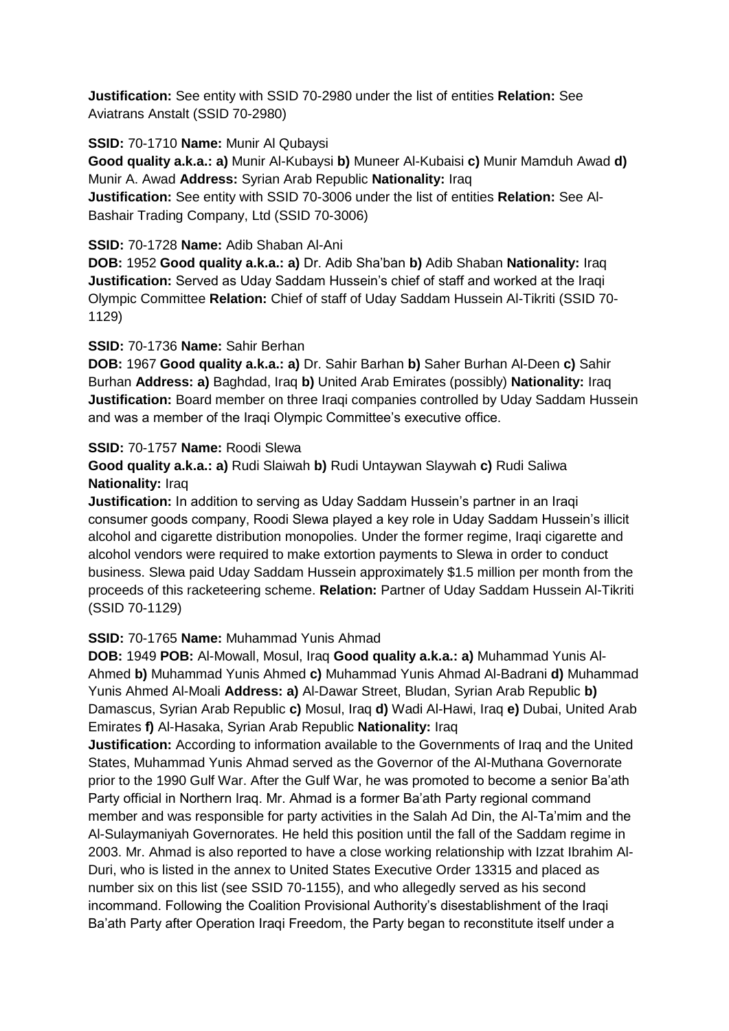**Justification:** See entity with SSID 70-2980 under the list of entities **Relation:** See Aviatrans Anstalt (SSID 70-2980)

### **SSID:** 70-1710 **Name:** Munir Al Qubaysi

**Good quality a.k.a.: a)** Munir Al-Kubaysi **b)** Muneer Al-Kubaisi **c)** Munir Mamduh Awad **d)**  Munir A. Awad **Address:** Syrian Arab Republic **Nationality:** Iraq

**Justification:** See entity with SSID 70-3006 under the list of entities **Relation:** See Al-Bashair Trading Company, Ltd (SSID 70-3006)

### **SSID:** 70-1728 **Name:** Adib Shaban Al-Ani

**DOB:** 1952 **Good quality a.k.a.: a)** Dr. Adib Sha'ban **b)** Adib Shaban **Nationality:** Iraq **Justification:** Served as Uday Saddam Hussein's chief of staff and worked at the Iraqi Olympic Committee **Relation:** Chief of staff of Uday Saddam Hussein Al-Tikriti (SSID 70- 1129)

### **SSID:** 70-1736 **Name:** Sahir Berhan

**DOB:** 1967 **Good quality a.k.a.: a)** Dr. Sahir Barhan **b)** Saher Burhan Al-Deen **c)** Sahir Burhan **Address: a)** Baghdad, Iraq **b)** United Arab Emirates (possibly) **Nationality:** Iraq **Justification:** Board member on three Iraqi companies controlled by Uday Saddam Hussein and was a member of the Iraqi Olympic Committee's executive office.

### **SSID:** 70-1757 **Name:** Roodi Slewa

**Good quality a.k.a.: a)** Rudi Slaiwah **b)** Rudi Untaywan Slaywah **c)** Rudi Saliwa **Nationality:** Iraq

**Justification:** In addition to serving as Uday Saddam Hussein's partner in an Iraqi consumer goods company, Roodi Slewa played a key role in Uday Saddam Hussein's illicit alcohol and cigarette distribution monopolies. Under the former regime, Iraqi cigarette and alcohol vendors were required to make extortion payments to Slewa in order to conduct business. Slewa paid Uday Saddam Hussein approximately \$1.5 million per month from the proceeds of this racketeering scheme. **Relation:** Partner of Uday Saddam Hussein Al-Tikriti (SSID 70-1129)

# **SSID:** 70-1765 **Name:** Muhammad Yunis Ahmad

**DOB:** 1949 **POB:** Al-Mowall, Mosul, Iraq **Good quality a.k.a.: a)** Muhammad Yunis Al-Ahmed **b)** Muhammad Yunis Ahmed **c)** Muhammad Yunis Ahmad Al-Badrani **d)** Muhammad Yunis Ahmed Al-Moali **Address: a)** Al-Dawar Street, Bludan, Syrian Arab Republic **b)**  Damascus, Syrian Arab Republic **c)** Mosul, Iraq **d)** Wadi Al-Hawi, Iraq **e)** Dubai, United Arab Emirates **f)** Al-Hasaka, Syrian Arab Republic **Nationality:** Iraq

**Justification:** According to information available to the Governments of Iraq and the United States, Muhammad Yunis Ahmad served as the Governor of the Al-Muthana Governorate prior to the 1990 Gulf War. After the Gulf War, he was promoted to become a senior Ba'ath Party official in Northern Iraq. Mr. Ahmad is a former Ba'ath Party regional command member and was responsible for party activities in the Salah Ad Din, the Al-Ta'mim and the Al-Sulaymaniyah Governorates. He held this position until the fall of the Saddam regime in 2003. Mr. Ahmad is also reported to have a close working relationship with Izzat Ibrahim Al-Duri, who is listed in the annex to United States Executive Order 13315 and placed as number six on this list (see SSID 70-1155), and who allegedly served as his second incommand. Following the Coalition Provisional Authority's disestablishment of the Iraqi Ba'ath Party after Operation Iraqi Freedom, the Party began to reconstitute itself under a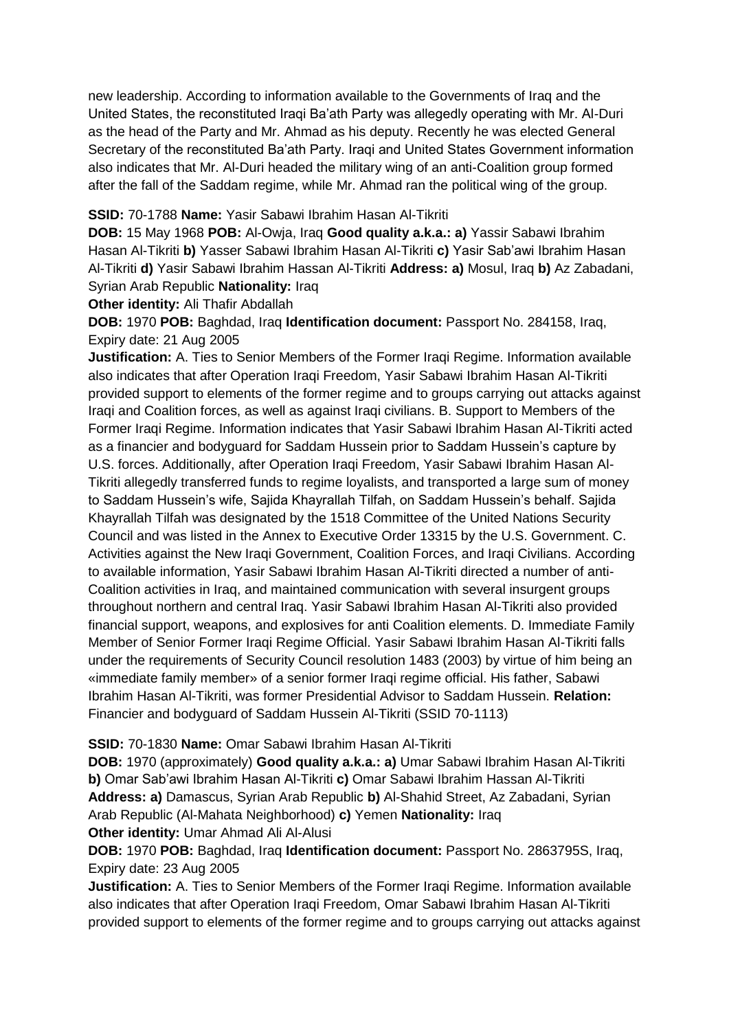new leadership. According to information available to the Governments of Iraq and the United States, the reconstituted Iraqi Ba'ath Party was allegedly operating with Mr. Al-Duri as the head of the Party and Mr. Ahmad as his deputy. Recently he was elected General Secretary of the reconstituted Ba'ath Party. Iraqi and United States Government information also indicates that Mr. Al-Duri headed the military wing of an anti-Coalition group formed after the fall of the Saddam regime, while Mr. Ahmad ran the political wing of the group.

#### **SSID:** 70-1788 **Name:** Yasir Sabawi Ibrahim Hasan Al-Tikriti

**DOB:** 15 May 1968 **POB:** Al-Owja, Iraq **Good quality a.k.a.: a)** Yassir Sabawi Ibrahim Hasan Al-Tikriti **b)** Yasser Sabawi Ibrahim Hasan Al-Tikriti **c)** Yasir Sab'awi Ibrahim Hasan Al-Tikriti **d)** Yasir Sabawi Ibrahim Hassan Al-Tikriti **Address: a)** Mosul, Iraq **b)** Az Zabadani, Syrian Arab Republic **Nationality:** Iraq

**Other identity:** Ali Thafir Abdallah

**DOB:** 1970 **POB:** Baghdad, Iraq **Identification document:** Passport No. 284158, Iraq, Expiry date: 21 Aug 2005

**Justification:** A. Ties to Senior Members of the Former Iraqi Regime. Information available also indicates that after Operation Iraqi Freedom, Yasir Sabawi Ibrahim Hasan Al-Tikriti provided support to elements of the former regime and to groups carrying out attacks against Iraqi and Coalition forces, as well as against Iraqi civilians. B. Support to Members of the Former Iraqi Regime. Information indicates that Yasir Sabawi Ibrahim Hasan Al-Tikriti acted as a financier and bodyguard for Saddam Hussein prior to Saddam Hussein's capture by U.S. forces. Additionally, after Operation Iraqi Freedom, Yasir Sabawi Ibrahim Hasan Al-Tikriti allegedly transferred funds to regime loyalists, and transported a large sum of money to Saddam Hussein's wife, Sajida Khayrallah Tilfah, on Saddam Hussein's behalf. Sajida Khayrallah Tilfah was designated by the 1518 Committee of the United Nations Security Council and was listed in the Annex to Executive Order 13315 by the U.S. Government. C. Activities against the New Iraqi Government, Coalition Forces, and Iraqi Civilians. According to available information, Yasir Sabawi Ibrahim Hasan Al-Tikriti directed a number of anti-Coalition activities in Iraq, and maintained communication with several insurgent groups throughout northern and central Iraq. Yasir Sabawi Ibrahim Hasan Al-Tikriti also provided financial support, weapons, and explosives for anti Coalition elements. D. Immediate Family Member of Senior Former Iraqi Regime Official. Yasir Sabawi Ibrahim Hasan Al-Tikriti falls under the requirements of Security Council resolution 1483 (2003) by virtue of him being an «immediate family member» of a senior former Iraqi regime official. His father, Sabawi Ibrahim Hasan Al-Tikriti, was former Presidential Advisor to Saddam Hussein. **Relation:** Financier and bodyguard of Saddam Hussein Al-Tikriti (SSID 70-1113)

# **SSID:** 70-1830 **Name:** Omar Sabawi Ibrahim Hasan Al-Tikriti

**DOB:** 1970 (approximately) **Good quality a.k.a.: a)** Umar Sabawi Ibrahim Hasan Al-Tikriti **b)** Omar Sab'awi Ibrahim Hasan Al-Tikriti **c)** Omar Sabawi Ibrahim Hassan Al-Tikriti **Address: a)** Damascus, Syrian Arab Republic **b)** Al-Shahid Street, Az Zabadani, Syrian Arab Republic (Al-Mahata Neighborhood) **c)** Yemen **Nationality:** Iraq **Other identity:** Umar Ahmad Ali Al-Alusi

**DOB:** 1970 **POB:** Baghdad, Iraq **Identification document:** Passport No. 2863795S, Iraq, Expiry date: 23 Aug 2005

**Justification:** A. Ties to Senior Members of the Former Iraqi Regime. Information available also indicates that after Operation Iraqi Freedom, Omar Sabawi Ibrahim Hasan Al-Tikriti provided support to elements of the former regime and to groups carrying out attacks against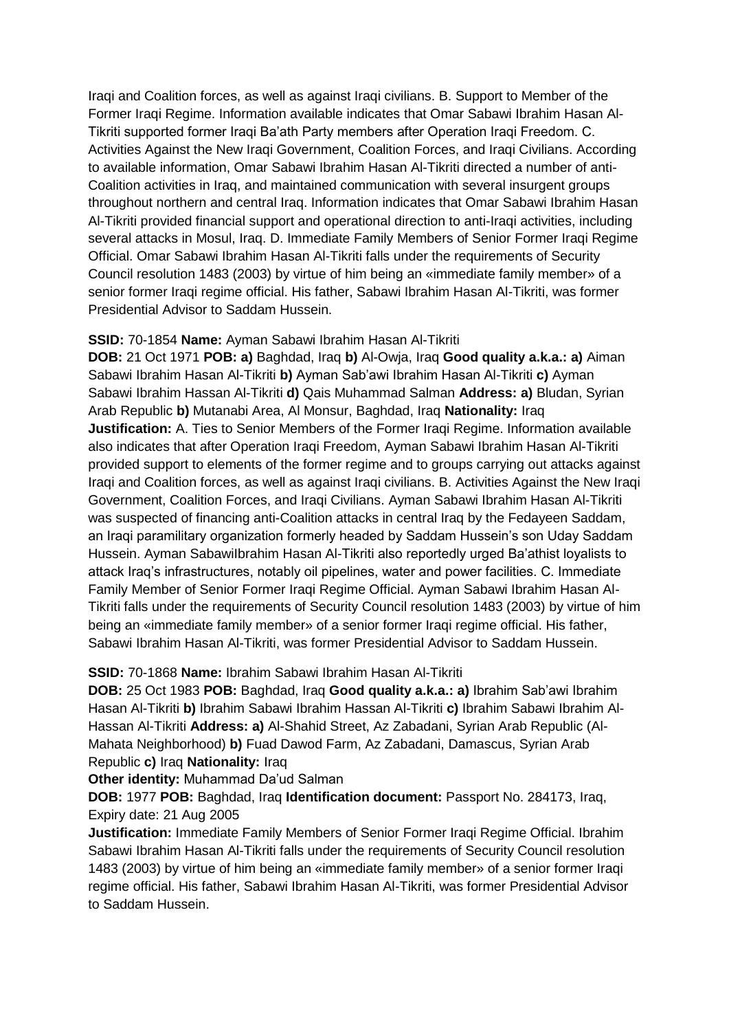Iraqi and Coalition forces, as well as against Iraqi civilians. B. Support to Member of the Former Iraqi Regime. Information available indicates that Omar Sabawi Ibrahim Hasan Al-Tikriti supported former Iraqi Ba'ath Party members after Operation Iraqi Freedom. C. Activities Against the New Iraqi Government, Coalition Forces, and Iraqi Civilians. According to available information, Omar Sabawi Ibrahim Hasan Al-Tikriti directed a number of anti-Coalition activities in Iraq, and maintained communication with several insurgent groups throughout northern and central Iraq. Information indicates that Omar Sabawi Ibrahim Hasan Al-Tikriti provided financial support and operational direction to anti-Iraqi activities, including several attacks in Mosul, Iraq. D. Immediate Family Members of Senior Former Iraqi Regime Official. Omar Sabawi Ibrahim Hasan Al-Tikriti falls under the requirements of Security Council resolution 1483 (2003) by virtue of him being an «immediate family member» of a senior former Iraqi regime official. His father, Sabawi Ibrahim Hasan Al-Tikriti, was former Presidential Advisor to Saddam Hussein.

#### **SSID:** 70-1854 **Name:** Ayman Sabawi Ibrahim Hasan Al-Tikriti

**DOB:** 21 Oct 1971 **POB: a)** Baghdad, Iraq **b)** Al-Owja, Iraq **Good quality a.k.a.: a)** Aiman Sabawi Ibrahim Hasan Al-Tikriti **b)** Ayman Sab'awi Ibrahim Hasan Al-Tikriti **c)** Ayman Sabawi Ibrahim Hassan Al-Tikriti **d)** Qais Muhammad Salman **Address: a)** Bludan, Syrian Arab Republic **b)** Mutanabi Area, Al Monsur, Baghdad, Iraq **Nationality:** Iraq **Justification:** A. Ties to Senior Members of the Former Iraqi Regime. Information available also indicates that after Operation Iraqi Freedom, Ayman Sabawi Ibrahim Hasan Al-Tikriti provided support to elements of the former regime and to groups carrying out attacks against Iraqi and Coalition forces, as well as against Iraqi civilians. B. Activities Against the New Iraqi Government, Coalition Forces, and Iraqi Civilians. Ayman Sabawi Ibrahim Hasan Al-Tikriti was suspected of financing anti-Coalition attacks in central Iraq by the Fedayeen Saddam, an Iraqi paramilitary organization formerly headed by Saddam Hussein's son Uday Saddam Hussein. Ayman SabawiIbrahim Hasan Al-Tikriti also reportedly urged Ba'athist loyalists to attack Iraq's infrastructures, notably oil pipelines, water and power facilities. C. Immediate Family Member of Senior Former Iraqi Regime Official. Ayman Sabawi Ibrahim Hasan Al-Tikriti falls under the requirements of Security Council resolution 1483 (2003) by virtue of him being an «immediate family member» of a senior former Iraqi regime official. His father, Sabawi Ibrahim Hasan Al-Tikriti, was former Presidential Advisor to Saddam Hussein.

#### **SSID:** 70-1868 **Name:** Ibrahim Sabawi Ibrahim Hasan Al-Tikriti

**DOB:** 25 Oct 1983 **POB:** Baghdad, Iraq **Good quality a.k.a.: a)** Ibrahim Sab'awi Ibrahim Hasan Al-Tikriti **b)** Ibrahim Sabawi Ibrahim Hassan Al-Tikriti **c)** Ibrahim Sabawi Ibrahim Al-Hassan Al-Tikriti **Address: a)** Al-Shahid Street, Az Zabadani, Syrian Arab Republic (Al-Mahata Neighborhood) **b)** Fuad Dawod Farm, Az Zabadani, Damascus, Syrian Arab Republic **c)** Iraq **Nationality:** Iraq

**Other identity:** Muhammad Da'ud Salman

**DOB:** 1977 **POB:** Baghdad, Iraq **Identification document:** Passport No. 284173, Iraq, Expiry date: 21 Aug 2005

**Justification:** Immediate Family Members of Senior Former Iraqi Regime Official. Ibrahim Sabawi Ibrahim Hasan Al-Tikriti falls under the requirements of Security Council resolution 1483 (2003) by virtue of him being an «immediate family member» of a senior former Iraqi regime official. His father, Sabawi Ibrahim Hasan Al-Tikriti, was former Presidential Advisor to Saddam Hussein.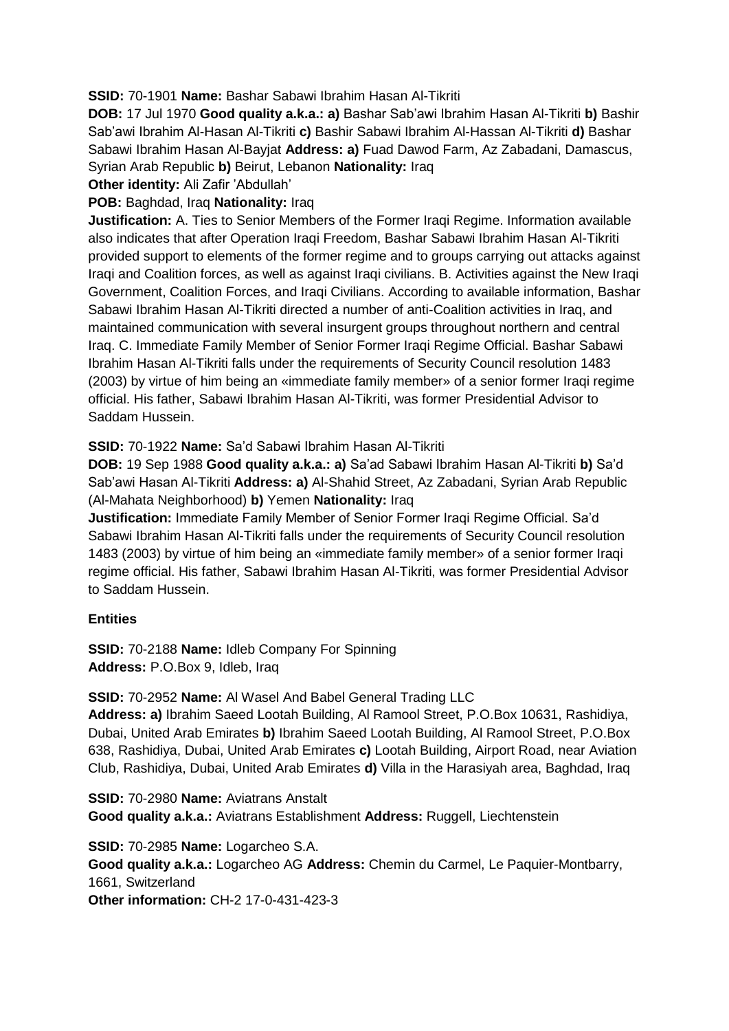**SSID:** 70-1901 **Name:** Bashar Sabawi Ibrahim Hasan Al-Tikriti

**DOB:** 17 Jul 1970 **Good quality a.k.a.: a)** Bashar Sab'awi Ibrahim Hasan Al-Tikriti **b)** Bashir Sab'awi Ibrahim Al-Hasan Al-Tikriti **c)** Bashir Sabawi Ibrahim Al-Hassan Al-Tikriti **d)** Bashar Sabawi Ibrahim Hasan Al-Bayjat **Address: a)** Fuad Dawod Farm, Az Zabadani, Damascus, Syrian Arab Republic **b)** Beirut, Lebanon **Nationality:** Iraq

**Other identity:** Ali Zafir 'Abdullah'

**POB:** Baghdad, Iraq **Nationality:** Iraq

**Justification:** A. Ties to Senior Members of the Former Iraqi Regime. Information available also indicates that after Operation Iraqi Freedom, Bashar Sabawi Ibrahim Hasan Al-Tikriti provided support to elements of the former regime and to groups carrying out attacks against Iraqi and Coalition forces, as well as against Iraqi civilians. B. Activities against the New Iraqi Government, Coalition Forces, and Iraqi Civilians. According to available information, Bashar Sabawi Ibrahim Hasan Al-Tikriti directed a number of anti-Coalition activities in Iraq, and maintained communication with several insurgent groups throughout northern and central Iraq. C. Immediate Family Member of Senior Former Iraqi Regime Official. Bashar Sabawi Ibrahim Hasan Al-Tikriti falls under the requirements of Security Council resolution 1483 (2003) by virtue of him being an «immediate family member» of a senior former Iraqi regime official. His father, Sabawi Ibrahim Hasan Al-Tikriti, was former Presidential Advisor to Saddam Hussein.

**SSID:** 70-1922 **Name:** Sa'd Sabawi Ibrahim Hasan Al-Tikriti

**DOB:** 19 Sep 1988 **Good quality a.k.a.: a)** Sa'ad Sabawi Ibrahim Hasan Al-Tikriti **b)** Sa'd Sab'awi Hasan Al-Tikriti **Address: a)** Al-Shahid Street, Az Zabadani, Syrian Arab Republic (Al-Mahata Neighborhood) **b)** Yemen **Nationality:** Iraq

**Justification:** Immediate Family Member of Senior Former Iraqi Regime Official. Sa'd Sabawi Ibrahim Hasan Al-Tikriti falls under the requirements of Security Council resolution 1483 (2003) by virtue of him being an «immediate family member» of a senior former Iraqi regime official. His father, Sabawi Ibrahim Hasan Al-Tikriti, was former Presidential Advisor to Saddam Hussein.

# **Entities**

**SSID:** 70-2188 **Name:** Idleb Company For Spinning **Address:** P.O.Box 9, Idleb, Iraq

**SSID:** 70-2952 **Name:** Al Wasel And Babel General Trading LLC

**Address: a)** Ibrahim Saeed Lootah Building, Al Ramool Street, P.O.Box 10631, Rashidiya, Dubai, United Arab Emirates **b)** Ibrahim Saeed Lootah Building, Al Ramool Street, P.O.Box 638, Rashidiya, Dubai, United Arab Emirates **c)** Lootah Building, Airport Road, near Aviation Club, Rashidiya, Dubai, United Arab Emirates **d)** Villa in the Harasiyah area, Baghdad, Iraq

**SSID:** 70-2980 **Name:** Aviatrans Anstalt **Good quality a.k.a.:** Aviatrans Establishment **Address:** Ruggell, Liechtenstein

**SSID:** 70-2985 **Name:** Logarcheo S.A. **Good quality a.k.a.:** Logarcheo AG **Address:** Chemin du Carmel, Le Paquier-Montbarry, 1661, Switzerland **Other information:** CH-2 17-0-431-423-3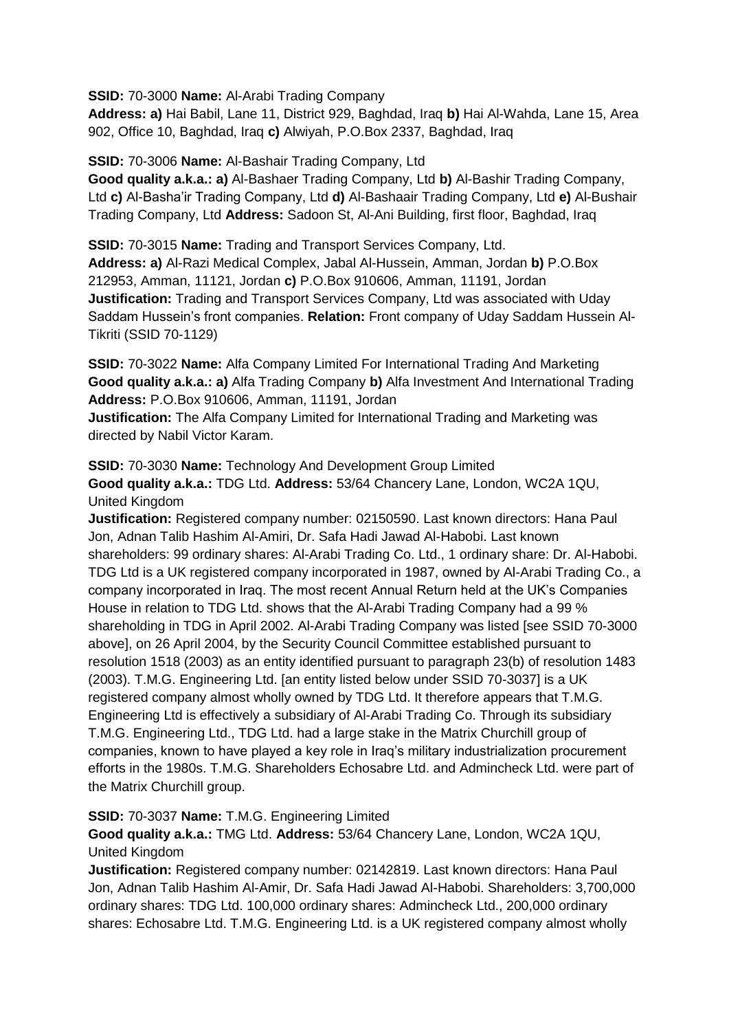**SSID:** 70-3000 **Name:** Al-Arabi Trading Company

**Address: a)** Hai Babil, Lane 11, District 929, Baghdad, Iraq **b)** Hai Al-Wahda, Lane 15, Area 902, Office 10, Baghdad, Iraq **c)** Alwiyah, P.O.Box 2337, Baghdad, Iraq

**SSID:** 70-3006 **Name:** Al-Bashair Trading Company, Ltd

**Good quality a.k.a.: a)** Al-Bashaer Trading Company, Ltd **b)** Al-Bashir Trading Company, Ltd **c)** Al-Basha'ir Trading Company, Ltd **d)** Al-Bashaair Trading Company, Ltd **e)** Al-Bushair Trading Company, Ltd **Address:** Sadoon St, Al-Ani Building, first floor, Baghdad, Iraq

**SSID:** 70-3015 **Name:** Trading and Transport Services Company, Ltd. **Address: a)** Al-Razi Medical Complex, Jabal Al-Hussein, Amman, Jordan **b)** P.O.Box 212953, Amman, 11121, Jordan **c)** P.O.Box 910606, Amman, 11191, Jordan **Justification:** Trading and Transport Services Company, Ltd was associated with Uday Saddam Hussein's front companies. **Relation:** Front company of Uday Saddam Hussein Al-Tikriti (SSID 70-1129)

**SSID:** 70-3022 **Name:** Alfa Company Limited For International Trading And Marketing **Good quality a.k.a.: a)** Alfa Trading Company **b)** Alfa Investment And International Trading **Address:** P.O.Box 910606, Amman, 11191, Jordan

**Justification:** The Alfa Company Limited for International Trading and Marketing was directed by Nabil Victor Karam.

**SSID:** 70-3030 **Name:** Technology And Development Group Limited

**Good quality a.k.a.:** TDG Ltd. **Address:** 53/64 Chancery Lane, London, WC2A 1QU, United Kingdom

**Justification:** Registered company number: 02150590. Last known directors: Hana Paul Jon, Adnan Talib Hashim Al-Amiri, Dr. Safa Hadi Jawad Al-Habobi. Last known shareholders: 99 ordinary shares: Al-Arabi Trading Co. Ltd., 1 ordinary share: Dr. Al-Habobi. TDG Ltd is a UK registered company incorporated in 1987, owned by Al-Arabi Trading Co., a company incorporated in Iraq. The most recent Annual Return held at the UK's Companies House in relation to TDG Ltd. shows that the Al-Arabi Trading Company had a 99 % shareholding in TDG in April 2002. Al-Arabi Trading Company was listed [see SSID 70-3000 above], on 26 April 2004, by the Security Council Committee established pursuant to resolution 1518 (2003) as an entity identified pursuant to paragraph 23(b) of resolution 1483 (2003). T.M.G. Engineering Ltd. [an entity listed below under SSID 70-3037] is a UK registered company almost wholly owned by TDG Ltd. It therefore appears that T.M.G. Engineering Ltd is effectively a subsidiary of Al-Arabi Trading Co. Through its subsidiary T.M.G. Engineering Ltd., TDG Ltd. had a large stake in the Matrix Churchill group of companies, known to have played a key role in Iraq's military industrialization procurement efforts in the 1980s. T.M.G. Shareholders Echosabre Ltd. and Admincheck Ltd. were part of the Matrix Churchill group.

# **SSID:** 70-3037 **Name:** T.M.G. Engineering Limited

**Good quality a.k.a.:** TMG Ltd. **Address:** 53/64 Chancery Lane, London, WC2A 1QU, United Kingdom

**Justification:** Registered company number: 02142819. Last known directors: Hana Paul Jon, Adnan Talib Hashim Al-Amir, Dr. Safa Hadi Jawad Al-Habobi. Shareholders: 3,700,000 ordinary shares: TDG Ltd. 100,000 ordinary shares: Admincheck Ltd., 200,000 ordinary shares: Echosabre Ltd. T.M.G. Engineering Ltd. is a UK registered company almost wholly